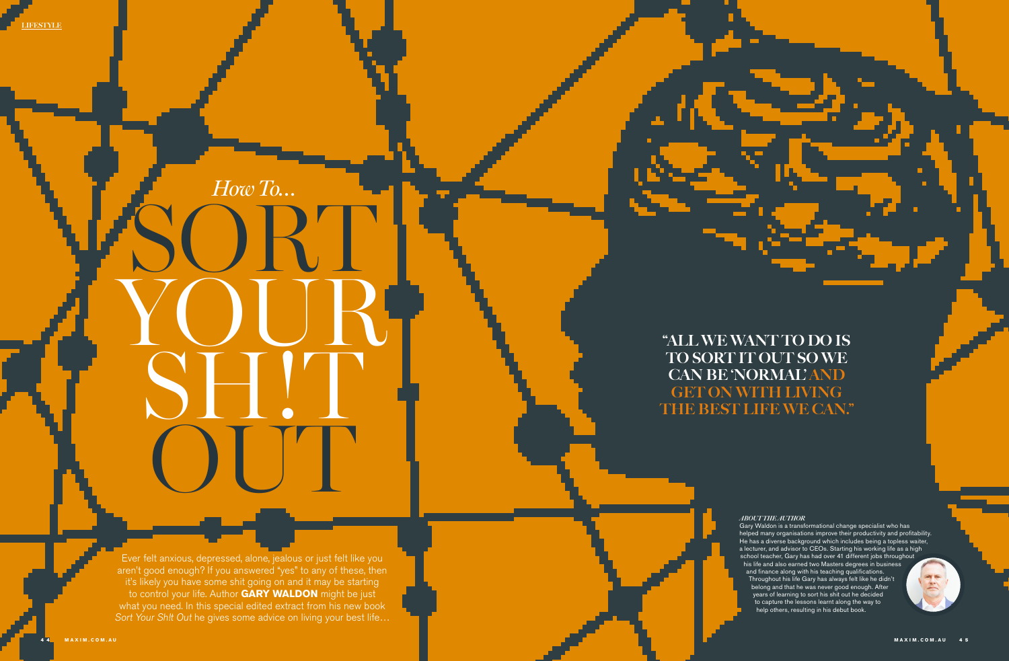Ever felt anxious, depressed, alone, jealous or just felt like you aren't good enough? If you answered "yes" to any of these, then it's likely you have some shit going on and it may be starting to control your life. Author **GARY WALDON** might be just what you need. In this special edited extract from his new book Sort Your Sh!t Out he gives some advice on living your best life...

# SORT! YOUR SH!T OUT *How To…*

LIFESTYLE

#### *ABOUT THE AUTHOR*

Gary Waldon is a transformational change specialist who has helped many organisations improve their productivity and profitability. He has a diverse background which includes being a topless waiter, a lecturer, and advisor to CEOs. Starting his working life as a high school teacher, Gary has had over 41 different jobs throughout his life and also earned two Masters degrees in business and finance along with his teaching qualifications. Throughout his life Gary has always felt like he didn't belong and that he was never good enough. After years of learning to sort his shit out he decided to capture the lessons learnt along the way to help others, resulting in his debut book.

"ALL WE WANT TO DO IS

## TO SORT IT OUT SO WE CAN BE 'NORMAL' AND GET ON WITH LIVING THE BEST LIFE WE CAN."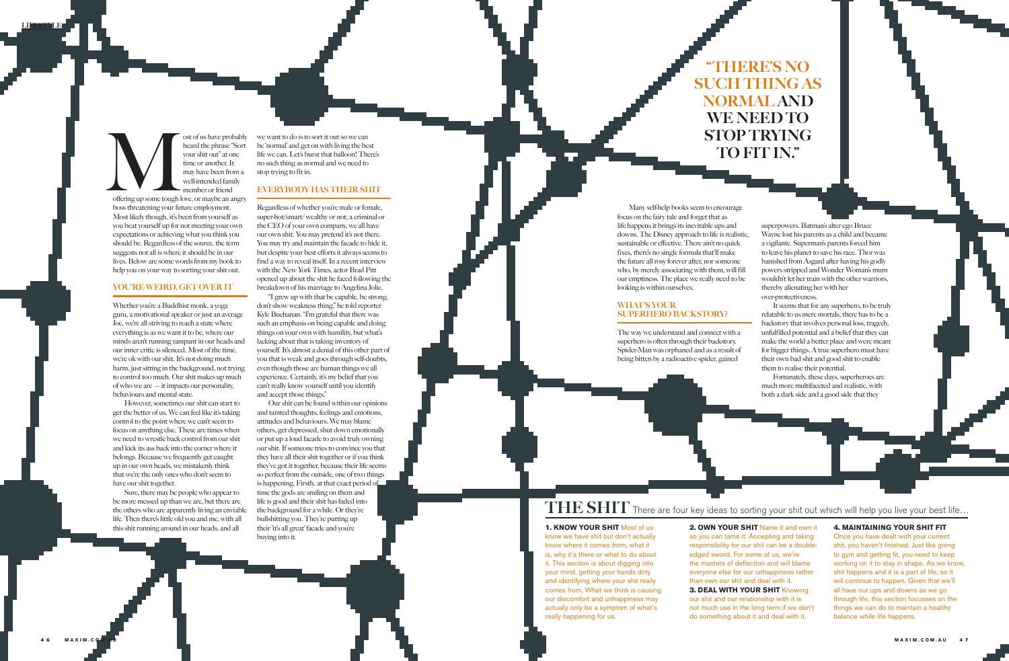## THERE'S NO SUCH THING AS NORMAL AND WE NEED TO STOP TRYING TO FIT IN."

### 1. **KNOW YOUR SHIT** Most of us

know we have shit but don't actually know where it comes from, what it is, why it's there or what to do about it. This section is about digging into your mind, getting your hands dirty and identifying where your shit really comes from. What we think is causing our discomfort and unhappiness may actually only be a symptom of what's really happening for us.

2. **OWN YOUR SHIT** Name it and own it so you can tame it. Accepting and taking responsibility for our shit can be a doubleedged sword. For some of us, we're the masters of deflection and will blame everyone else for our unhappiness rather than own our shit and deal with it. 3. **DEAL WITH YOUR SHIT** Knowing our shit and our relationship with it is not much use in the long term if we don't do something about it and deal with it.

offering up some tough le ost of us have probably heard the phrase "Sort your shit out" at one time or another. It may have been from a well-intended family member or friend offering up some tough love, or maybe an angry boss threatening your future employment. Most likely though, it's been from yourself as you beat yourself up for not meeting your own expectations or achieving what you think you should be. Regardless of the source, the term suggests not all is where it should be in our lives. Below are some words from my book to help you on your way to sorting your shit out.

#### 4. **MAINTAINING YOUR SHIT FIT**

Once you have dealt with your current shit, you haven't finished. Just like going to gym and getting fit, you need to keep working on it to stay in shape. As we know, shit happens and it is a part of life, so it will continue to happen. Given that we'll all have our ups and downs as we go through life, this section focusses on the things we can do to maintain a healthy balance while life happens.

Whether you're a Buddhist monk, a yoga guru, a motivational speaker or just an average Joe, we're all striving to reach a state where everything is as we want it to be, where our minds aren't running rampant in our heads and our inner critic is silenced. Most of the time, we're ok with our shit. It's not doing much harm, just sitting in the background, not trying to control too much. Our shit makes up much of who we are — it impacts our personality, behaviours and mental state.

#### YOU'RE WEIRD, GET OVER IT

However, sometimes our shit can start to get the better of us. We can feel like it's taking control to the point where we can't seem to focus on anything else. These are times when we need to wrestle back control from our shit and kick its ass back into the corner where it belongs. Because we frequently get caught up in our own heads, we mistakenly think that we're the only ones who don't seem to have our shit together.

Sure, there may be people who appear to be more messed up than we are, but there are the others who are apparently living an enviable life. Then there's little old you and me, with all this shit running around in our heads, and all

Many self-help books seem to encourage focus on the fairy tale and forget that as life happens it brings its inevitable ups and downs. The Disney approach to life is realistic, sustainable or effective. There ain't no quick fixes, there's no single formula that'll make the future all rosy forever after, nor someone who, by merely associating with them, will fill our emptiness. The place we really need to be looking is within ourselves.

#### WHAT'S YOUR SUPERHERO BACKSTORY?

The way we understand and connect with a superhero is often through their backstory. Spider-Man was orphaned and as a result of being bitten by a radioactive spider, gained

## $\text{THE}\textbf{SHIT}$  There are four key ideas to sorting your shit out which will help you live your best life...

we want to do is to sort it out so we can be 'normal' and get on with living the best life we can. Let's burst that balloon! There's no such thing as normal and we need to stop trying to fit in.

#### EVERYBODY HAS THEIR SHIT

Regardless of whether you're male or female, super-hot/smart/ wealthy or not, a criminal or the CEO of your own company, we all have our own shit. You may pretend it's not there. You may try and maintain the facade to hide it, but despite your best efforts it always seems to find a way to reveal itself. In a recent interview with the New York Times, actor Brad Pitt opened up about the shit he faced following the breakdown of his marriage to Angelina Jolie.

"I grew up with that be capable, be strong, don't show weakness thing," he told reporter Kyle Buchanan. "I'm grateful that there was such an emphasis on being capable and doing things on your own with humility, but what's lacking about that is taking inventory of yourself. It's almost a denial of this other part of you that is weak and goes through self-doubts, even though those are human things we all experience. Certainly, it's my belief that you can't really know yourself until you identify and accept those things."

Our shit can be found within our opinions and tainted thoughts, feelings and emotions, attitudes and behaviours. We may blame others, get depressed, shut down emotionally or put up a loud facade to avoid truly owning our shit. If someone tries to convince you that they have all their shit together or if you think they've got it together, because their life seems so perfect from the outside, one of two things is happening. Firstly, at that exact period of time the gods are smiling on them and life is good and their shit has faded into the background for a while. Or they're bullshitting you. They're putting up their 'it's all great' facade and you're buying into it.

superpowers. Batman's alter ego Bruce Wayne lost his parents as a child and became a vigilante. Superman's parents forced him to leave his planet to save his race. Thor was banished from Asgard after having his godly powers stripped and Wonder Woman's mum wouldn't let her train with the other warriors, thereby alienating her with her over-protectiveness.

It seems that for any superhero, to be truly relatable to us mere mortals, there has to be a backstory that involves personal loss, tragedy, unfulfilled potential and a belief that they can make the world a better place and were meant for bigger things. A true superhero must have their own bad shit and good shit to enable them to realise their potential.

Fortunately, these days, superheroes are much more multifaceted and realistic, with both a dark side and a good side that they